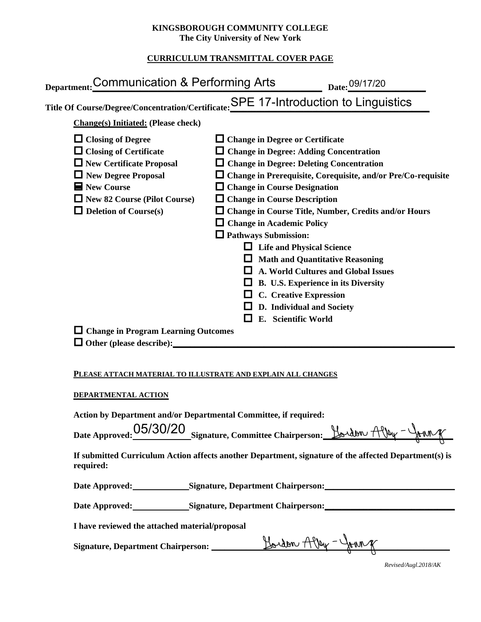#### **KINGSBOROUGH COMMUNITY COLLEGE The City University of New York**

## **CURRICULUM TRANSMITTAL COVER PAGE**

| Department: Communication & Performing Arts                                                                                                                                                                      |                                                                                                                                                                                                                                                 | Date: 09/17/20                                                                                                                                                                                                                                                                                                                                                                                                                                             |
|------------------------------------------------------------------------------------------------------------------------------------------------------------------------------------------------------------------|-------------------------------------------------------------------------------------------------------------------------------------------------------------------------------------------------------------------------------------------------|------------------------------------------------------------------------------------------------------------------------------------------------------------------------------------------------------------------------------------------------------------------------------------------------------------------------------------------------------------------------------------------------------------------------------------------------------------|
| Title Of Course/Degree/Concentration/Certificate: SPE 17-Introduction to Linguistics                                                                                                                             |                                                                                                                                                                                                                                                 |                                                                                                                                                                                                                                                                                                                                                                                                                                                            |
| <b>Change(s)</b> Initiated: (Please check)                                                                                                                                                                       |                                                                                                                                                                                                                                                 |                                                                                                                                                                                                                                                                                                                                                                                                                                                            |
| $\Box$ Closing of Degree<br>$\Box$ Closing of Certificate<br>$\Box$ New Certificate Proposal<br>New Degree Proposal<br>$\blacksquare$ New Course<br>New 82 Course (Pilot Course)<br>$\Box$ Deletion of Course(s) | $\Box$ Change in Degree or Certificate<br>$\Box$ Change in Course Designation<br>$\Box$ Change in Course Description<br>$\Box$ Change in Academic Policy<br>$\Box$ Pathways Submission:<br>$\Box$ C. Creative Expression<br>E. Scientific World | $\Box$ Change in Degree: Adding Concentration<br>$\Box$ Change in Degree: Deleting Concentration<br>$\Box$ Change in Prerequisite, Corequisite, and/or Pre/Co-requisite<br>□ Change in Course Title, Number, Credits and/or Hours<br>$\Box$ Life and Physical Science<br>$\Box$ Math and Quantitative Reasoning<br>A. World Cultures and Global Issues<br><b><math>\Box</math></b> B. U.S. Experience in its Diversity<br>$\Box$ D. Individual and Society |
| $\Box$ Change in Program Learning Outcomes<br>$\Box$ Other (please describe):                                                                                                                                    |                                                                                                                                                                                                                                                 |                                                                                                                                                                                                                                                                                                                                                                                                                                                            |
| PLEASE ATTACH MATERIAL TO ILLUSTRATE AND EXPLAIN ALL CHANGES                                                                                                                                                     |                                                                                                                                                                                                                                                 |                                                                                                                                                                                                                                                                                                                                                                                                                                                            |
| DEPARTMENTAL ACTION                                                                                                                                                                                              |                                                                                                                                                                                                                                                 |                                                                                                                                                                                                                                                                                                                                                                                                                                                            |
| Action by Department and/or Departmental Committee, if required:<br>05/30/20<br><b>Date Approved:</b>                                                                                                            |                                                                                                                                                                                                                                                 | Signature, Committee Chairperson: Bordon Alley - Journ of                                                                                                                                                                                                                                                                                                                                                                                                  |

**If submitted Curriculum Action affects another Department, signature of the affected Department(s) is required:**

**Date Approved: Signature, Department Chairperson:\_\_\_\_\_\_\_\_\_\_\_\_\_\_\_\_\_\_\_\_\_\_\_\_\_\_\_\_\_\_** 

Date Approved: Signature, Department Chairperson: Network and Solven and Solven and Solven and Solven and Solven and Solven and Solven and Solven and Solven and Solven and Solven and Solven and Solven and Solven and Solven

**I have reviewed the attached material/proposal**

**Signature, Department Chairperson: \_\_\_\_\_\_\_\_\_\_\_\_\_\_\_\_\_\_\_\_\_\_\_\_\_\_\_\_\_\_\_\_\_\_\_\_\_\_\_\_\_\_\_\_\_\_\_\_\_\_\_\_\_\_\_**

*Revised/Augl.2018/AK*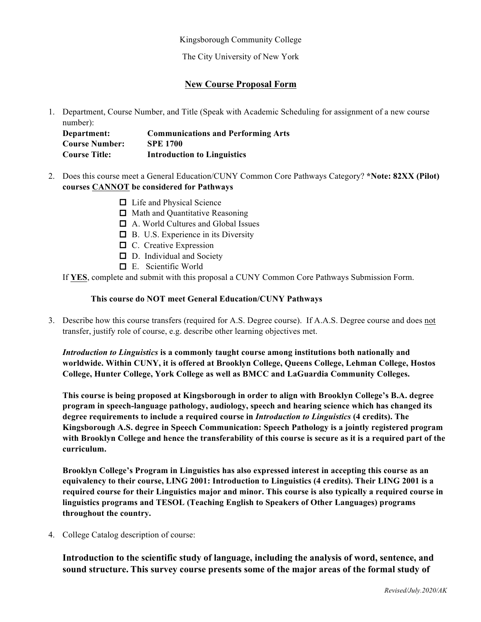Kingsborough Community College

The City University of New York

### **New Course Proposal Form**

1. Department, Course Number, and Title (Speak with Academic Scheduling for assignment of a new course number):

**Department: Communications and Performing Arts Course Number: SPE 1700 Course Title: Introduction to Linguistics** 

- 2. Does this course meet a General Education/CUNY Common Core Pathways Category? **\*Note: 82XX (Pilot) courses CANNOT be considered for Pathways**
	- □ Life and Physical Science
	- **□** Math and Quantitative Reasoning
	- oA. World Cultures and Global Issues
	- $\Box$  B. U.S. Experience in its Diversity
	- $\Box$  C. Creative Expression
	- D. Individual and Society
	- oE. Scientific World

If **YES**, complete and submit with this proposal a CUNY Common Core Pathways Submission Form.

#### **This course do NOT meet General Education/CUNY Pathways**

3. Describe how this course transfers (required for A.S. Degree course). If A.A.S. Degree course and does not transfer, justify role of course, e.g. describe other learning objectives met.

*Introduction to Linguistics* **is a commonly taught course among institutions both nationally and worldwide. Within CUNY, it is offered at Brooklyn College, Queens College, Lehman College, Hostos College, Hunter College, York College as well as BMCC and LaGuardia Community Colleges.**

**This course is being proposed at Kingsborough in order to align with Brooklyn College's B.A. degree program in speech-language pathology, audiology, speech and hearing science which has changed its degree requirements to include a required course in** *Introduction to Linguistics* **(4 credits). The Kingsborough A.S. degree in Speech Communication: Speech Pathology is a jointly registered program with Brooklyn College and hence the transferability of this course is secure as it is a required part of the curriculum.**

**Brooklyn College's Program in Linguistics has also expressed interest in accepting this course as an equivalency to their course, LING 2001: Introduction to Linguistics (4 credits). Their LING 2001 is a required course for their Linguistics major and minor. This course is also typically a required course in linguistics programs and TESOL (Teaching English to Speakers of Other Languages) programs throughout the country.**

4. College Catalog description of course:

**Introduction to the scientific study of language, including the analysis of word, sentence, and sound structure. This survey course presents some of the major areas of the formal study of**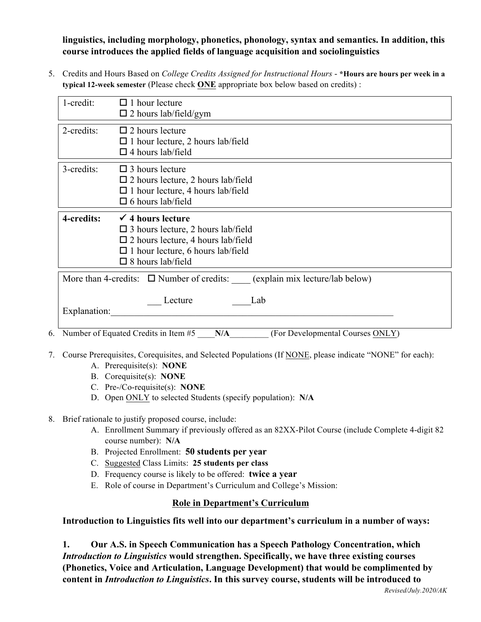**linguistics, including morphology, phonetics, phonology, syntax and semantics. In addition, this course introduces the applied fields of language acquisition and sociolinguistics**

5. Credits and Hours Based on *College Credits Assigned for Instructional Hours* - **\*Hours are hours per week in a typical 12-week semester** (Please check **ONE** appropriate box below based on credits) :

| 1-credit:    | $\Box$ 1 hour lecture<br>$\square$ 2 hours lab/field/gym                                                                                                                                                |
|--------------|---------------------------------------------------------------------------------------------------------------------------------------------------------------------------------------------------------|
| 2-credits:   | $\Box$ 2 hours lecture<br>$\Box$ 1 hour lecture, 2 hours lab/field<br>$\Box$ 4 hours lab/field                                                                                                          |
| 3-credits:   | $\square$ 3 hours lecture<br>$\square$ 2 hours lecture, 2 hours lab/field<br>$\Box$ 1 hour lecture, 4 hours lab/field<br>$\square$ 6 hours lab/field                                                    |
| 4-credits:   | $\checkmark$ 4 hours lecture<br>$\square$ 3 hours lecture, 2 hours lab/field<br>$\square$ 2 hours lecture, 4 hours lab/field<br>$\Box$ 1 hour lecture, 6 hours lab/field<br>$\square$ 8 hours lab/field |
|              | More than 4-credits: $\Box$ Number of credits: (explain mix lecture/lab below)                                                                                                                          |
| Explanation: | Lecture<br>Lab                                                                                                                                                                                          |
| 6.           | Number of Equated Credits in Item #5<br>(For Developmental Courses ONLY)<br>N/A                                                                                                                         |

- 7. Course Prerequisites, Corequisites, and Selected Populations (If NONE, please indicate "NONE" for each):
	- A. Prerequisite(s): **NONE**
	- B. Corequisite(s): **NONE**
	- C. Pre-/Co-requisite(s): **NONE**
	- D. Open ONLY to selected Students (specify population): **N/A**
- 8. Brief rationale to justify proposed course, include:
	- A. Enrollment Summary if previously offered as an 82XX-Pilot Course (include Complete 4-digit 82 course number): **N/A**
	- B. Projected Enrollment: **50 students per year**
	- C. Suggested Class Limits: **25 students per class**
	- D. Frequency course is likely to be offered: **twice a year**
	- E. Role of course in Department's Curriculum and College's Mission:

## **Role in Department's Curriculum**

**Introduction to Linguistics fits well into our department's curriculum in a number of ways:**

**1. Our A.S. in Speech Communication has a Speech Pathology Concentration, which**  *Introduction to Linguistics* **would strengthen. Specifically, we have three existing courses (Phonetics, Voice and Articulation, Language Development) that would be complimented by content in** *Introduction to Linguistics***. In this survey course, students will be introduced to**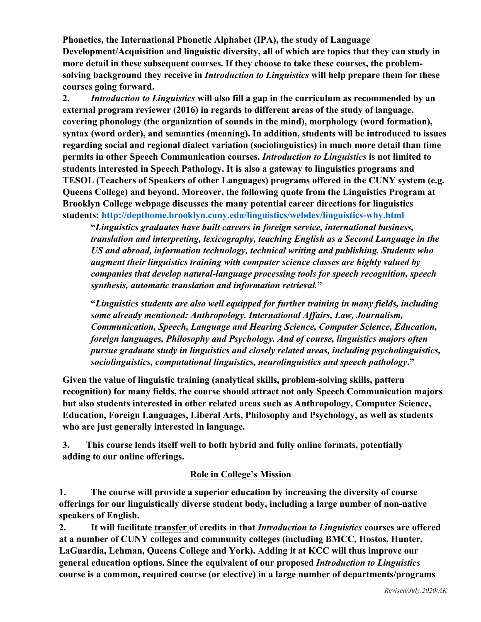**Phonetics, the International Phonetic Alphabet (IPA), the study of Language Development/Acquisition and linguistic diversity, all of which are topics that they can study in more detail in these subsequent courses. If they choose to take these courses, the problemsolving background they receive in** *Introduction to Linguistics* **will help prepare them for these courses going forward.**

**2.** *Introduction to Linguistics* **will also fill a gap in the curriculum as recommended by an external program reviewer (2016) in regards to different areas of the study of language, covering phonology (the organization of sounds in the mind), morphology (word formation), syntax (word order), and semantics (meaning). In addition, students will be introduced to issues regarding social and regional dialect variation (sociolinguistics) in much more detail than time permits in other Speech Communication courses.** *Introduction to Linguistics* **is not limited to students interested in Speech Pathology. It is also a gateway to linguistics programs and TESOL (Teachers of Speakers of other Languages) programs offered in the CUNY system (e.g. Queens College) and beyond. Moreover, the following quote from the Linguistics Program at Brooklyn College webpage discusses the many potential career directions for linguistics students: http://depthome.brooklyn.cuny.edu/linguistics/webdev/linguistics-why.html**

**"***Linguistics graduates have built careers in foreign service, international business, translation and interpreting, lexicography, teaching English as a Second Language in the US and abroad, information technology, technical writing and publishing. Students who augment their linguistics training with computer science classes are highly valued by companies that develop natural-language processing tools for speech recognition, speech synthesis, automatic translation and information retrieval.***"**

**"***Linguistics students are also well equipped for further training in many fields, including some already mentioned: Anthropology, International Affairs, Law, Journalism, Communication, Speech, Language and Hearing Science, Computer Science, Education, foreign languages, Philosophy and Psychology. And of course, linguistics majors often pursue graduate study in linguistics and closely related areas, including psycholinguistics, sociolinguistics, computational linguistics, neurolinguistics and speech pathology***."**

**Given the value of linguistic training (analytical skills, problem-solving skills, pattern recognition) for many fields, the course should attract not only Speech Communication majors but also students interested in other related areas such as Anthropology, Computer Science, Education, Foreign Languages, Liberal Arts, Philosophy and Psychology, as well as students who are just generally interested in language.**

**3. This course lends itself well to both hybrid and fully online formats, potentially adding to our online offerings.**

# **Role in College's Mission**

**1. The course will provide a superior education by increasing the diversity of course offerings for our linguistically diverse student body, including a large number of non-native speakers of English.**

**2. It will facilitate transfer of credits in that** *Introduction to Linguistics* **courses are offered at a number of CUNY colleges and community colleges (including BMCC, Hostos, Hunter, LaGuardia, Lehman, Queens College and York). Adding it at KCC will thus improve our general education options. Since the equivalent of our proposed** *Introduction to Linguistics* **course is a common, required course (or elective) in a large number of departments/programs**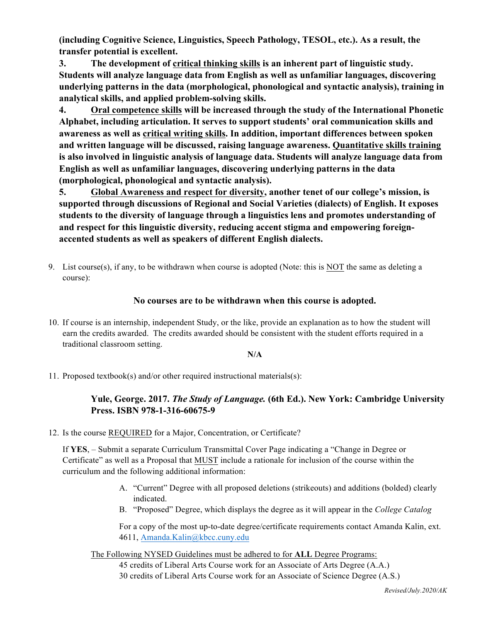**(including Cognitive Science, Linguistics, Speech Pathology, TESOL, etc.). As a result, the transfer potential is excellent.** 

**3. The development of critical thinking skills is an inherent part of linguistic study. Students will analyze language data from English as well as unfamiliar languages, discovering underlying patterns in the data (morphological, phonological and syntactic analysis), training in analytical skills, and applied problem-solving skills.**

**4. Oral competence skills will be increased through the study of the International Phonetic Alphabet, including articulation. It serves to support students' oral communication skills and awareness as well as critical writing skills. In addition, important differences between spoken and written language will be discussed, raising language awareness. Quantitative skills training is also involved in linguistic analysis of language data. Students will analyze language data from English as well as unfamiliar languages, discovering underlying patterns in the data (morphological, phonological and syntactic analysis).** 

**5. Global Awareness and respect for diversity, another tenet of our college's mission, is supported through discussions of Regional and Social Varieties (dialects) of English. It exposes students to the diversity of language through a linguistics lens and promotes understanding of and respect for this linguistic diversity, reducing accent stigma and empowering foreignaccented students as well as speakers of different English dialects.** 

9. List course(s), if any, to be withdrawn when course is adopted (Note: this is NOT the same as deleting a course):

## **No courses are to be withdrawn when this course is adopted.**

10. If course is an internship, independent Study, or the like, provide an explanation as to how the student will earn the credits awarded. The credits awarded should be consistent with the student efforts required in a traditional classroom setting.

#### **N/A**

11. Proposed textbook(s) and/or other required instructional materials(s):

## **Yule, George. 2017.** *The Study of Language.* **(6th Ed.). New York: Cambridge University Press. ISBN 978-1-316-60675-9**

12. Is the course REQUIRED for a Major, Concentration, or Certificate?

If **YES**, – Submit a separate Curriculum Transmittal Cover Page indicating a "Change in Degree or Certificate" as well as a Proposal that MUST include a rationale for inclusion of the course within the curriculum and the following additional information:

- A. "Current" Degree with all proposed deletions (strikeouts) and additions (bolded) clearly indicated.
- B. "Proposed" Degree, which displays the degree as it will appear in the *College Catalog*

For a copy of the most up-to-date degree/certificate requirements contact Amanda Kalin, ext. 4611, Amanda.Kalin@kbcc.cuny.edu

The Following NYSED Guidelines must be adhered to for **ALL** Degree Programs:

45 credits of Liberal Arts Course work for an Associate of Arts Degree (A.A.)

30 credits of Liberal Arts Course work for an Associate of Science Degree (A.S.)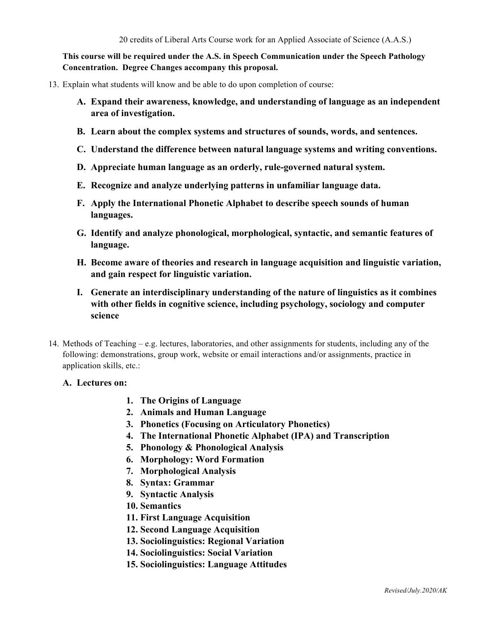### **This course will be required under the A.S. in Speech Communication under the Speech Pathology Concentration. Degree Changes accompany this proposal.**

- 13. Explain what students will know and be able to do upon completion of course:
	- **A. Expand their awareness, knowledge, and understanding of language as an independent area of investigation.**
	- **B. Learn about the complex systems and structures of sounds, words, and sentences.**
	- **C. Understand the difference between natural language systems and writing conventions.**
	- **D. Appreciate human language as an orderly, rule-governed natural system.**
	- **E. Recognize and analyze underlying patterns in unfamiliar language data.**
	- **F. Apply the International Phonetic Alphabet to describe speech sounds of human languages.**
	- **G. Identify and analyze phonological, morphological, syntactic, and semantic features of language.**
	- **H. Become aware of theories and research in language acquisition and linguistic variation, and gain respect for linguistic variation.**
	- **I. Generate an interdisciplinary understanding of the nature of linguistics as it combines with other fields in cognitive science, including psychology, sociology and computer science**
- 14. Methods of Teaching e.g. lectures, laboratories, and other assignments for students, including any of the following: demonstrations, group work, website or email interactions and/or assignments, practice in application skills, etc.:

#### **A. Lectures on:**

- **1. The Origins of Language**
- **2. Animals and Human Language**
- **3. Phonetics (Focusing on Articulatory Phonetics)**
- **4. The International Phonetic Alphabet (IPA) and Transcription**
- **5. Phonology & Phonological Analysis**
- **6. Morphology: Word Formation**
- **7. Morphological Analysis**
- **8. Syntax: Grammar**
- **9. Syntactic Analysis**
- **10. Semantics**
- **11. First Language Acquisition**
- **12. Second Language Acquisition**
- **13. Sociolinguistics: Regional Variation**
- **14. Sociolinguistics: Social Variation**
- **15. Sociolinguistics: Language Attitudes**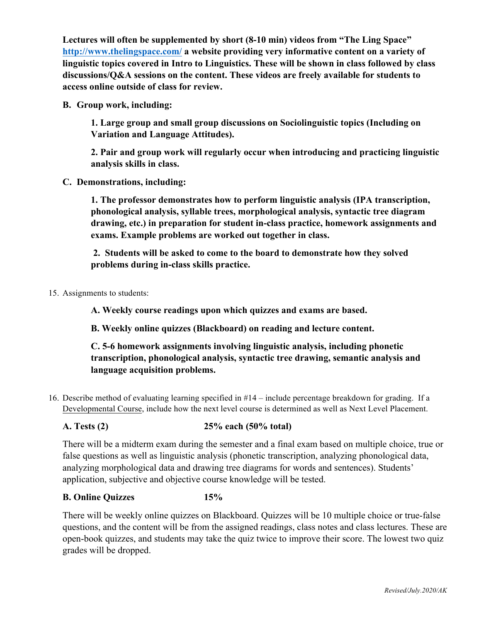**Lectures will often be supplemented by short (8-10 min) videos from "The Ling Space" http://www.thelingspace.com/ a website providing very informative content on a variety of linguistic topics covered in Intro to Linguistics. These will be shown in class followed by class discussions/Q&A sessions on the content. These videos are freely available for students to access online outside of class for review.**

**B. Group work, including:**

**1. Large group and small group discussions on Sociolinguistic topics (Including on Variation and Language Attitudes).**

**2. Pair and group work will regularly occur when introducing and practicing linguistic analysis skills in class.**

**C. Demonstrations, including:**

 **1. The professor demonstrates how to perform linguistic analysis (IPA transcription, phonological analysis, syllable trees, morphological analysis, syntactic tree diagram drawing, etc.) in preparation for student in-class practice, homework assignments and exams. Example problems are worked out together in class.** 

**2. Students will be asked to come to the board to demonstrate how they solved problems during in-class skills practice.**

15. Assignments to students:

**A. Weekly course readings upon which quizzes and exams are based.** 

**B. Weekly online quizzes (Blackboard) on reading and lecture content.** 

 **C. 5-6 homework assignments involving linguistic analysis, including phonetic transcription, phonological analysis, syntactic tree drawing, semantic analysis and language acquisition problems.**

16. Describe method of evaluating learning specified in #14 – include percentage breakdown for grading. If a Developmental Course, include how the next level course is determined as well as Next Level Placement.

## **A. Tests (2) 25% each (50% total)**

 There will be a midterm exam during the semester and a final exam based on multiple choice, true or false questions as well as linguistic analysis (phonetic transcription, analyzing phonological data, analyzing morphological data and drawing tree diagrams for words and sentences). Students' application, subjective and objective course knowledge will be tested.

## **B. Online Quizzes 15%**

 There will be weekly online quizzes on Blackboard. Quizzes will be 10 multiple choice or true-false questions, and the content will be from the assigned readings, class notes and class lectures. These are open-book quizzes, and students may take the quiz twice to improve their score. The lowest two quiz grades will be dropped.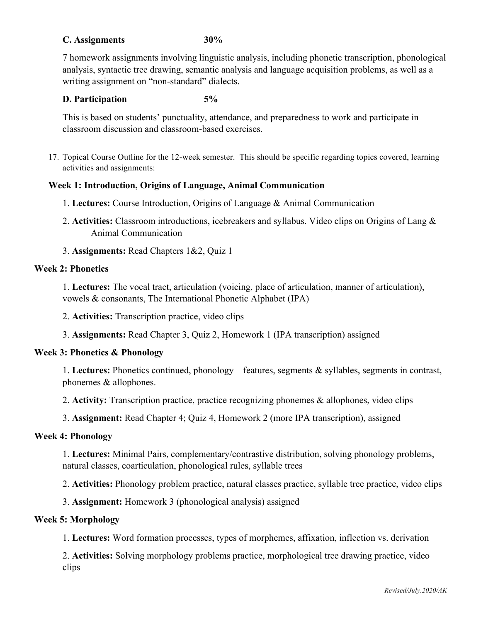## **C. Assignments 30%**

 7 homework assignments involving linguistic analysis, including phonetic transcription, phonological analysis, syntactic tree drawing, semantic analysis and language acquisition problems, as well as a writing assignment on "non-standard" dialects.

#### **D. Participation 5%**

 This is based on students' punctuality, attendance, and preparedness to work and participate in classroom discussion and classroom-based exercises.

17. Topical Course Outline for the 12-week semester. This should be specific regarding topics covered, learning activities and assignments:

#### **Week 1: Introduction, Origins of Language, Animal Communication**

- 1. **Lectures:** Course Introduction, Origins of Language & Animal Communication
- 2. **Activities:** Classroom introductions, icebreakers and syllabus. Video clips on Origins of Lang & Animal Communication
- 3. **Assignments:** Read Chapters 1&2, Quiz 1

### **Week 2: Phonetics**

1. **Lectures:** The vocal tract, articulation (voicing, place of articulation, manner of articulation), vowels & consonants, The International Phonetic Alphabet (IPA)

2. **Activities:** Transcription practice, video clips

3. **Assignments:** Read Chapter 3, Quiz 2, Homework 1 (IPA transcription) assigned

#### **Week 3: Phonetics & Phonology**

1. **Lectures:** Phonetics continued, phonology – features, segments & syllables, segments in contrast, phonemes & allophones.

2. **Activity:** Transcription practice, practice recognizing phonemes & allophones, video clips

3. **Assignment:** Read Chapter 4; Quiz 4, Homework 2 (more IPA transcription), assigned

### **Week 4: Phonology**

1. **Lectures:** Minimal Pairs, complementary/contrastive distribution, solving phonology problems, natural classes, coarticulation, phonological rules, syllable trees

2. **Activities:** Phonology problem practice, natural classes practice, syllable tree practice, video clips

3. **Assignment:** Homework 3 (phonological analysis) assigned

### **Week 5: Morphology**

1. **Lectures:** Word formation processes, types of morphemes, affixation, inflection vs. derivation

2. **Activities:** Solving morphology problems practice, morphological tree drawing practice, video clips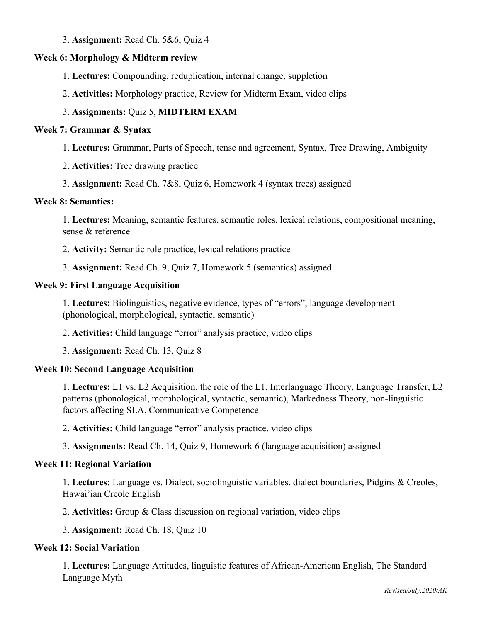### 3. **Assignment:** Read Ch. 5&6, Quiz 4

# **Week 6: Morphology & Midterm review**

- 1. **Lectures:** Compounding, reduplication, internal change, suppletion
- 2. **Activities:** Morphology practice, Review for Midterm Exam, video clips

# 3. **Assignments:** Quiz 5, **MIDTERM EXAM**

# **Week 7: Grammar & Syntax**

- 1. **Lectures:** Grammar, Parts of Speech, tense and agreement, Syntax, Tree Drawing, Ambiguity
- 2. **Activities:** Tree drawing practice
- 3. **Assignment:** Read Ch. 7&8, Quiz 6, Homework 4 (syntax trees) assigned

## **Week 8: Semantics:**

1. **Lectures:** Meaning, semantic features, semantic roles, lexical relations, compositional meaning, sense & reference

- 2. **Activity:** Semantic role practice, lexical relations practice
- 3. **Assignment:** Read Ch. 9, Quiz 7, Homework 5 (semantics) assigned

# **Week 9: First Language Acquisition**

1. **Lectures:** Biolinguistics, negative evidence, types of "errors", language development (phonological, morphological, syntactic, semantic)

2. **Activities:** Child language "error" analysis practice, video clips

3. **Assignment:** Read Ch. 13, Quiz 8

# **Week 10: Second Language Acquisition**

1. **Lectures:** L1 vs. L2 Acquisition, the role of the L1, Interlanguage Theory, Language Transfer, L2 patterns (phonological, morphological, syntactic, semantic), Markedness Theory, non-linguistic factors affecting SLA, Communicative Competence

2. **Activities:** Child language "error" analysis practice, video clips

# 3. **Assignments:** Read Ch. 14, Quiz 9, Homework 6 (language acquisition) assigned

# **Week 11: Regional Variation**

1. **Lectures:** Language vs. Dialect, sociolinguistic variables, dialect boundaries, Pidgins & Creoles, Hawai'ian Creole English

2. **Activities:** Group & Class discussion on regional variation, video clips

3. **Assignment:** Read Ch. 18, Quiz 10

# **Week 12: Social Variation**

1. **Lectures:** Language Attitudes, linguistic features of African-American English, The Standard Language Myth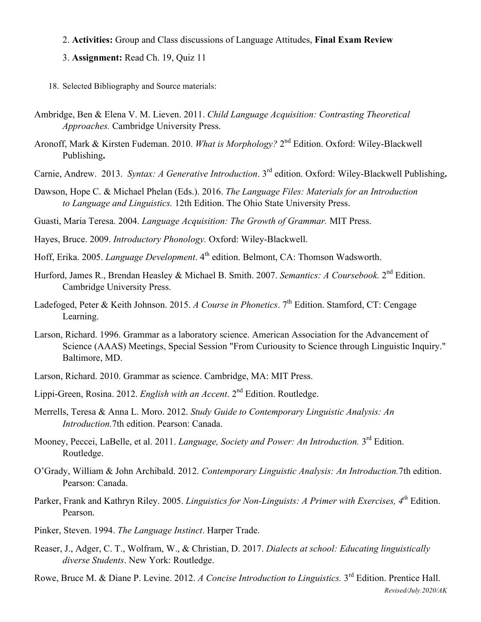- 2. **Activities:** Group and Class discussions of Language Attitudes, **Final Exam Review**
- 3. **Assignment:** Read Ch. 19, Quiz 11
- 18. Selected Bibliography and Source materials:
- Ambridge, Ben & Elena V. M. Lieven. 2011. *Child Language Acquisition: Contrasting Theoretical Approaches.* Cambridge University Press.
- Aronoff, Mark & Kirsten Fudeman. 2010. *What is Morphology?* 2<sup>nd</sup> Edition. Oxford: Wiley-Blackwell Publishing**.**
- Carnie, Andrew. 2013. *Syntax: A Generative Introduction*. 3rd edition. Oxford: Wiley-Blackwell Publishing**.**
- Dawson, Hope C. & Michael Phelan (Eds.). 2016. *The Language Files: Materials for an Introduction to Language and Linguistics.* 12th Edition. The Ohio State University Press.
- Guasti, Maria Teresa. 2004. *Language Acquisition: The Growth of Grammar.* MIT Press.
- Hayes, Bruce. 2009. *Introductory Phonology.* Oxford: Wiley-Blackwell.
- Hoff, Erika. 2005. *Language Development*. 4<sup>th</sup> edition. Belmont, CA: Thomson Wadsworth.
- Hurford, James R., Brendan Heasley & Michael B. Smith. 2007. *Semantics: A Coursebook.* 2nd Edition. Cambridge University Press.
- Ladefoged, Peter & Keith Johnson. 2015. *A Course in Phonetics*. 7<sup>th</sup> Edition. Stamford, CT: Cengage Learning.
- Larson, Richard. 1996. Grammar as a laboratory science. American Association for the Advancement of Science (AAAS) Meetings, Special Session "From Curiousity to Science through Linguistic Inquiry." Baltimore, MD.
- Larson, Richard. 2010. Grammar as science. Cambridge, MA: MIT Press.
- Lippi-Green, Rosina. 2012. *English with an Accent*. 2<sup>nd</sup> Edition. Routledge.
- Merrells, Teresa & Anna L. Moro. 2012. *Study Guide to Contemporary Linguistic Analysis: An Introduction.*7th edition. Pearson: Canada.
- Mooney, Peccei, LaBelle, et al. 2011. *Language, Society and Power: An Introduction.* 3rd Edition. Routledge.
- O'Grady, William & John Archibald. 2012. *Contemporary Linguistic Analysis: An Introduction.*7th edition. Pearson: Canada.
- Parker, Frank and Kathryn Riley. 2005. *Linguistics for Non-Linguists: A Primer with Exercises, 4th* Edition. Pearson.
- Pinker, Steven. 1994. *The Language Instinct*. Harper Trade.
- Reaser, J., Adger, C. T., Wolfram, W., & Christian, D. 2017. *Dialects at school: Educating linguistically diverse Students*. New York: Routledge.
- *Revised/July.2020/AK* Rowe, Bruce M. & Diane P. Levine. 2012. *A Concise Introduction to Linguistics.* 3rd Edition. Prentice Hall.